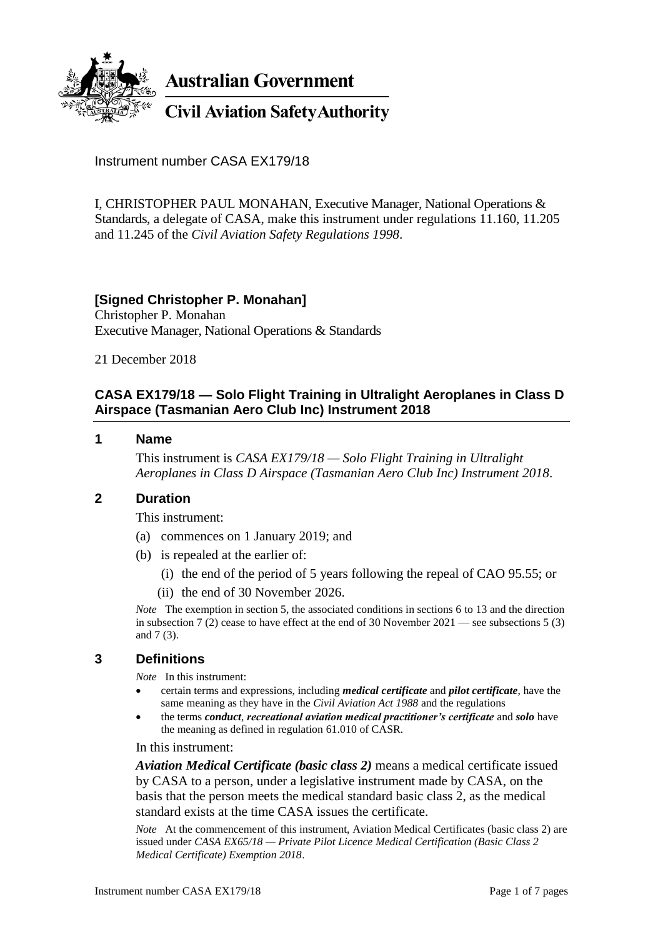

**Australian Government** 

**Civil Aviation Safety Authority** 

Instrument number CASA EX179/18

I, CHRISTOPHER PAUL MONAHAN, Executive Manager, National Operations & Standards, a delegate of CASA, make this instrument under regulations 11.160, 11.205 and 11.245 of the *Civil Aviation Safety Regulations 1998*.

## **[Signed Christopher P. Monahan]**

Christopher P. Monahan Executive Manager, National Operations & Standards

21 December 2018

# **CASA EX179/18 — Solo Flight Training in Ultralight Aeroplanes in Class D Airspace (Tasmanian Aero Club Inc) Instrument 2018**

#### **1 Name**

This instrument is *CASA EX179/18 — Solo Flight Training in Ultralight Aeroplanes in Class D Airspace (Tasmanian Aero Club Inc) Instrument 2018*.

## **2 Duration**

This instrument:

- (a) commences on 1 January 2019; and
- (b) is repealed at the earlier of:
	- (i) the end of the period of 5 years following the repeal of CAO 95.55; or
	- (ii) the end of 30 November 2026.

*Note* The exemption in section 5, the associated conditions in sections 6 to 13 and the direction in subsection 7 (2) cease to have effect at the end of 30 November 2021 — see subsections 5 (3) and 7 (3).

## **3 Definitions**

*Note* In this instrument:

- certain terms and expressions, including *medical certificate* and *pilot certificate*, have the same meaning as they have in the *Civil Aviation Act 1988* and the regulations
- the terms *conduct*, *recreational aviation medical practitioner's certificate* and *solo* have the meaning as defined in regulation 61.010 of CASR.

In this instrument:

*Aviation Medical Certificate (basic class 2)* means a medical certificate issued by CASA to a person, under a legislative instrument made by CASA, on the basis that the person meets the medical standard basic class 2, as the medical standard exists at the time CASA issues the certificate.

*Note* At the commencement of this instrument, Aviation Medical Certificates (basic class 2) are issued under *CASA EX65/18 — Private Pilot Licence Medical Certification (Basic Class 2 Medical Certificate) Exemption 2018*.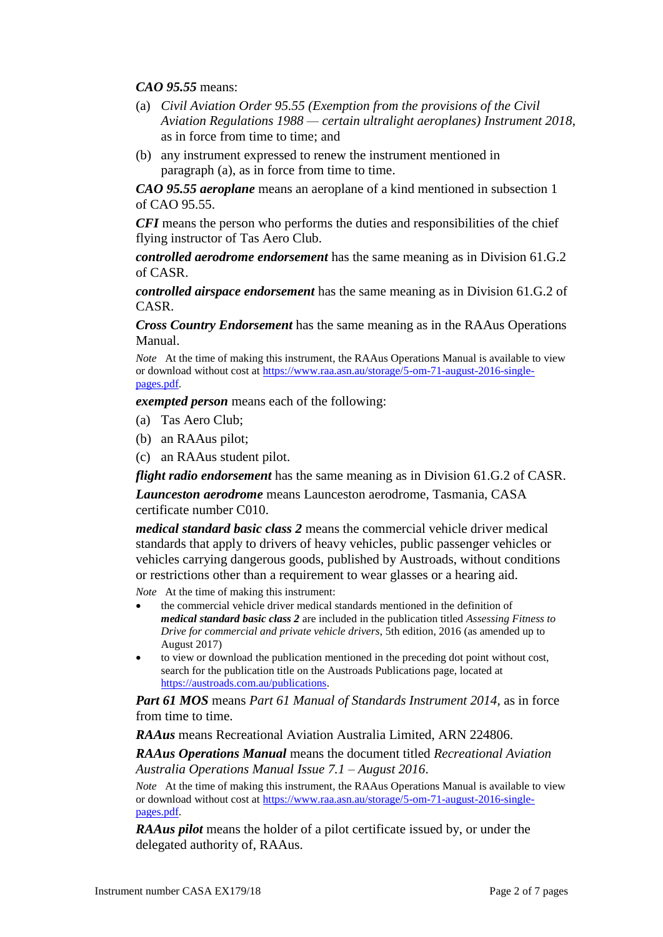*CAO 95.55* means:

- (a) *Civil Aviation Order 95.55 (Exemption from the provisions of the Civil Aviation Regulations 1988 — certain ultralight aeroplanes) Instrument 2018*, as in force from time to time; and
- (b) any instrument expressed to renew the instrument mentioned in paragraph (a), as in force from time to time.

*CAO 95.55 aeroplane* means an aeroplane of a kind mentioned in subsection 1 of CAO 95.55.

*CFI* means the person who performs the duties and responsibilities of the chief flying instructor of Tas Aero Club.

*controlled aerodrome endorsement* has the same meaning as in Division 61.G.2 of CASR.

*controlled airspace endorsement* has the same meaning as in Division 61.G.2 of CASR.

*Cross Country Endorsement* has the same meaning as in the RAAus Operations Manual.

*Note* At the time of making this instrument, the RAAus Operations Manual is available to view or download without cost at [https://www.raa.asn.au/storage/5-om-71-august-2016-single](https://www.raa.asn.au/storage/5-om-71-august-2016-single-pages.pdf)[pages.pdf.](https://www.raa.asn.au/storage/5-om-71-august-2016-single-pages.pdf)

*exempted person* means each of the following:

- (a) Tas Aero Club;
- (b) an RAAus pilot;
- (c) an RAAus student pilot.

*flight radio endorsement* has the same meaning as in Division 61.G.2 of CASR. *Launceston aerodrome* means Launceston aerodrome, Tasmania, CASA certificate number C010.

*medical standard basic class 2* means the commercial vehicle driver medical standards that apply to drivers of heavy vehicles, public passenger vehicles or vehicles carrying dangerous goods, published by Austroads, without conditions or restrictions other than a requirement to wear glasses or a hearing aid.

*Note* At the time of making this instrument:

- the commercial vehicle driver medical standards mentioned in the definition of *medical standard basic class 2* are included in the publication titled *Assessing Fitness to Drive for commercial and private vehicle drivers*, 5th edition, 2016 (as amended up to August 2017)
- to view or download the publication mentioned in the preceding dot point without cost, search for the publication title on the Austroads Publications page, located at [https://austroads.com.au/publications.](https://austroads.com.au/publications)

*Part 61 MOS* means *Part 61 Manual of Standards Instrument 2014*, as in force from time to time.

*RAAus* means Recreational Aviation Australia Limited, ARN 224806.

*RAAus Operations Manual* means the document titled *Recreational Aviation Australia Operations Manual Issue 7.1 – August 2016*.

*Note* At the time of making this instrument, the RAAus Operations Manual is available to view or download without cost at [https://www.raa.asn.au/storage/5-om-71-august-2016-single](https://www.raa.asn.au/storage/5-om-71-august-2016-single-pages.pdf)[pages.pdf.](https://www.raa.asn.au/storage/5-om-71-august-2016-single-pages.pdf)

*RAAus pilot* means the holder of a pilot certificate issued by, or under the delegated authority of, RAAus.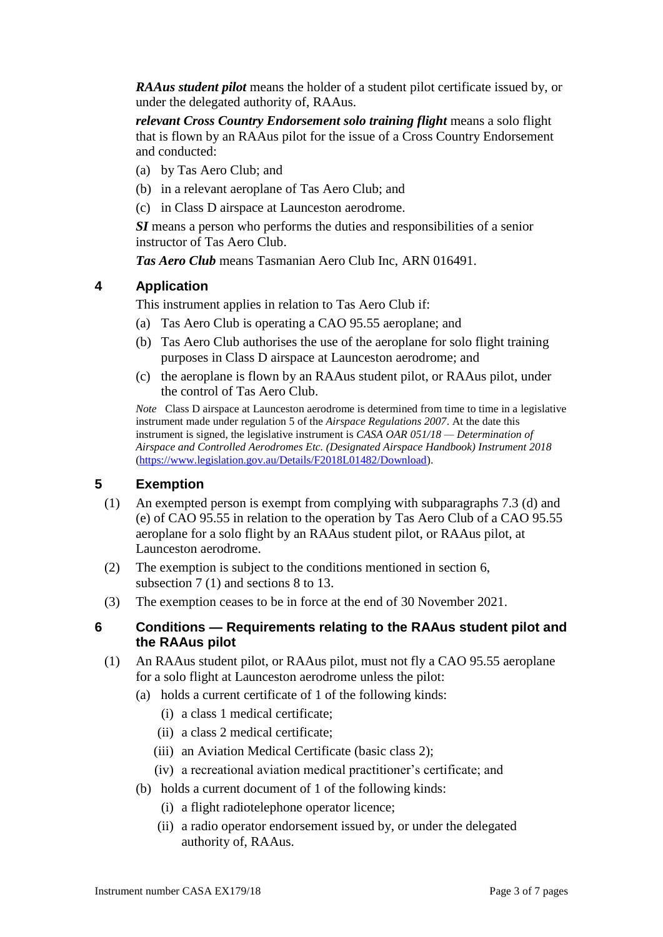*RAAus student pilot* means the holder of a student pilot certificate issued by, or under the delegated authority of, RAAus.

*relevant Cross Country Endorsement solo training flight* means a solo flight that is flown by an RAAus pilot for the issue of a Cross Country Endorsement and conducted:

- (a) by Tas Aero Club; and
- (b) in a relevant aeroplane of Tas Aero Club; and
- (c) in Class D airspace at Launceston aerodrome.

*SI* means a person who performs the duties and responsibilities of a senior instructor of Tas Aero Club.

*Tas Aero Club* means Tasmanian Aero Club Inc, ARN 016491.

## **4 Application**

This instrument applies in relation to Tas Aero Club if:

- (a) Tas Aero Club is operating a CAO 95.55 aeroplane; and
- (b) Tas Aero Club authorises the use of the aeroplane for solo flight training purposes in Class D airspace at Launceston aerodrome; and
- (c) the aeroplane is flown by an RAAus student pilot, or RAAus pilot, under the control of Tas Aero Club.

*Note* Class D airspace at Launceston aerodrome is determined from time to time in a legislative instrument made under regulation 5 of the *Airspace Regulations 2007*. At the date this instrument is signed, the legislative instrument is *CASA OAR 051/18 — Determination of Airspace and Controlled Aerodromes Etc. (Designated Airspace Handbook) Instrument 2018* [\(https://www.legislation.gov.au/Details/F2018L01482/Download\)](https://www.legislation.gov.au/Details/F2018L01482/Download).

## **5 Exemption**

- (1) An exempted person is exempt from complying with subparagraphs 7.3 (d) and (e) of CAO 95.55 in relation to the operation by Tas Aero Club of a CAO 95.55 aeroplane for a solo flight by an RAAus student pilot, or RAAus pilot, at Launceston aerodrome.
- (2) The exemption is subject to the conditions mentioned in section 6, subsection 7 (1) and sections 8 to 13.
- (3) The exemption ceases to be in force at the end of 30 November 2021.

#### **6 Conditions — Requirements relating to the RAAus student pilot and the RAAus pilot**

- (1) An RAAus student pilot, or RAAus pilot, must not fly a CAO 95.55 aeroplane for a solo flight at Launceston aerodrome unless the pilot:
	- (a) holds a current certificate of 1 of the following kinds:
		- (i) a class 1 medical certificate;
		- (ii) a class 2 medical certificate;
		- (iii) an Aviation Medical Certificate (basic class 2);
		- (iv) a recreational aviation medical practitioner's certificate; and
	- (b) holds a current document of 1 of the following kinds:
		- (i) a flight radiotelephone operator licence;
		- (ii) a radio operator endorsement issued by, or under the delegated authority of, RAAus.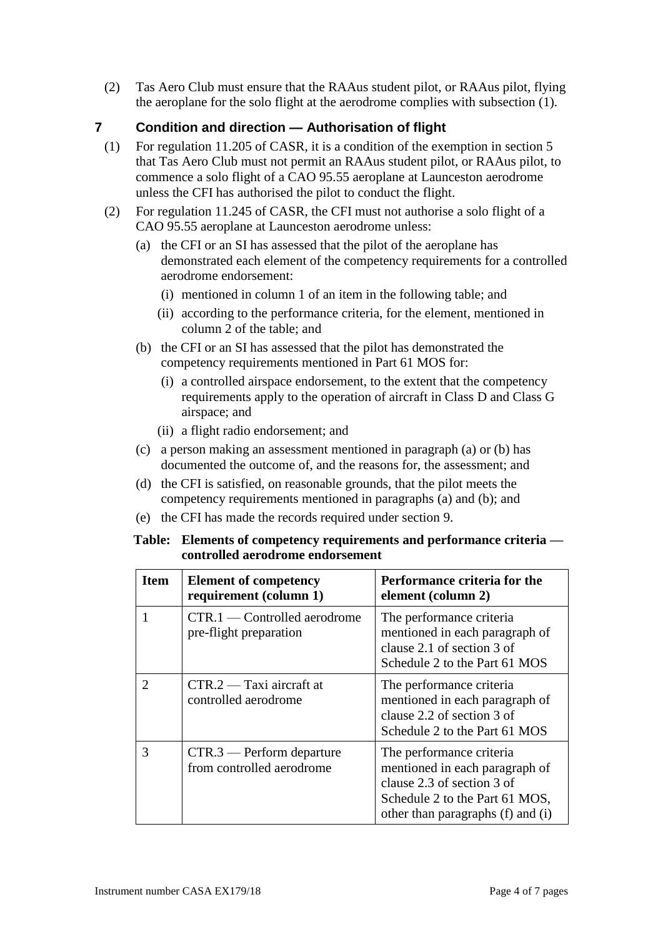(2) Tas Aero Club must ensure that the RAAus student pilot, or RAAus pilot, flying the aeroplane for the solo flight at the aerodrome complies with subsection (1).

# **7 Condition and direction — Authorisation of flight**

- (1) For regulation 11.205 of CASR, it is a condition of the exemption in section 5 that Tas Aero Club must not permit an RAAus student pilot, or RAAus pilot, to commence a solo flight of a CAO 95.55 aeroplane at Launceston aerodrome unless the CFI has authorised the pilot to conduct the flight.
- (2) For regulation 11.245 of CASR, the CFI must not authorise a solo flight of a CAO 95.55 aeroplane at Launceston aerodrome unless:
	- (a) the CFI or an SI has assessed that the pilot of the aeroplane has demonstrated each element of the competency requirements for a controlled aerodrome endorsement:
		- (i) mentioned in column 1 of an item in the following table; and
		- (ii) according to the performance criteria, for the element, mentioned in column 2 of the table; and
	- (b) the CFI or an SI has assessed that the pilot has demonstrated the competency requirements mentioned in Part 61 MOS for:
		- (i) a controlled airspace endorsement, to the extent that the competency requirements apply to the operation of aircraft in Class D and Class G airspace; and
		- (ii) a flight radio endorsement; and
	- (c) a person making an assessment mentioned in paragraph (a) or (b) has documented the outcome of, and the reasons for, the assessment; and
	- (d) the CFI is satisfied, on reasonable grounds, that the pilot meets the competency requirements mentioned in paragraphs (a) and (b); and
	- (e) the CFI has made the records required under section 9.

#### **Table: Elements of competency requirements and performance criteria controlled aerodrome endorsement**

| <b>Item</b>                 | <b>Element of competency</b><br>requirement (column 1)   | Performance criteria for the<br>element (column 2)                                                                                                              |
|-----------------------------|----------------------------------------------------------|-----------------------------------------------------------------------------------------------------------------------------------------------------------------|
|                             | $CTR.1$ — Controlled aerodrome<br>pre-flight preparation | The performance criteria<br>mentioned in each paragraph of<br>clause 2.1 of section 3 of<br>Schedule 2 to the Part 61 MOS                                       |
| $\mathcal{D}_{\mathcal{L}}$ | $CTR.2 - Taxi$ aircraft at<br>controlled aerodrome       | The performance criteria<br>mentioned in each paragraph of<br>clause 2.2 of section 3 of<br>Schedule 2 to the Part 61 MOS                                       |
| 3                           | $CTR.3$ — Perform departure<br>from controlled aerodrome | The performance criteria<br>mentioned in each paragraph of<br>clause 2.3 of section 3 of<br>Schedule 2 to the Part 61 MOS,<br>other than paragraphs (f) and (i) |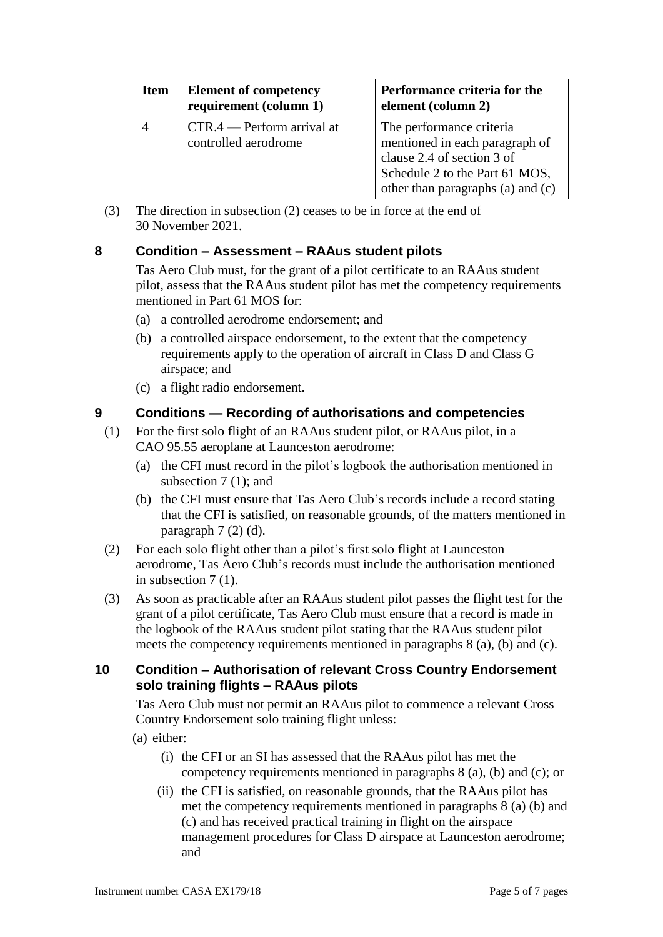| <b>Item</b> | <b>Element of competency</b><br>requirement (column 1) | Performance criteria for the<br>element (column 2)                                                                                                              |
|-------------|--------------------------------------------------------|-----------------------------------------------------------------------------------------------------------------------------------------------------------------|
|             | $CTR.4$ - Perform arrival at<br>controlled aerodrome   | The performance criteria<br>mentioned in each paragraph of<br>clause 2.4 of section 3 of<br>Schedule 2 to the Part 61 MOS,<br>other than paragraphs (a) and (c) |

(3) The direction in subsection (2) ceases to be in force at the end of 30 November 2021.

# **8 Condition – Assessment – RAAus student pilots**

Tas Aero Club must, for the grant of a pilot certificate to an RAAus student pilot, assess that the RAAus student pilot has met the competency requirements mentioned in Part 61 MOS for:

- (a) a controlled aerodrome endorsement; and
- (b) a controlled airspace endorsement, to the extent that the competency requirements apply to the operation of aircraft in Class D and Class G airspace; and
- (c) a flight radio endorsement.

## **9 Conditions — Recording of authorisations and competencies**

- (1) For the first solo flight of an RAAus student pilot, or RAAus pilot, in a CAO 95.55 aeroplane at Launceston aerodrome:
	- (a) the CFI must record in the pilot's logbook the authorisation mentioned in subsection 7 (1); and
	- (b) the CFI must ensure that Tas Aero Club's records include a record stating that the CFI is satisfied, on reasonable grounds, of the matters mentioned in paragraph  $7(2)(d)$ .
- (2) For each solo flight other than a pilot's first solo flight at Launceston aerodrome, Tas Aero Club's records must include the authorisation mentioned in subsection 7 (1).
- (3) As soon as practicable after an RAAus student pilot passes the flight test for the grant of a pilot certificate, Tas Aero Club must ensure that a record is made in the logbook of the RAAus student pilot stating that the RAAus student pilot meets the competency requirements mentioned in paragraphs 8 (a), (b) and (c).

## **10 Condition – Authorisation of relevant Cross Country Endorsement solo training flights – RAAus pilots**

Tas Aero Club must not permit an RAAus pilot to commence a relevant Cross Country Endorsement solo training flight unless:

- (a) either:
	- (i) the CFI or an SI has assessed that the RAAus pilot has met the competency requirements mentioned in paragraphs 8 (a), (b) and (c); or
	- (ii) the CFI is satisfied, on reasonable grounds, that the RAAus pilot has met the competency requirements mentioned in paragraphs 8 (a) (b) and (c) and has received practical training in flight on the airspace management procedures for Class D airspace at Launceston aerodrome; and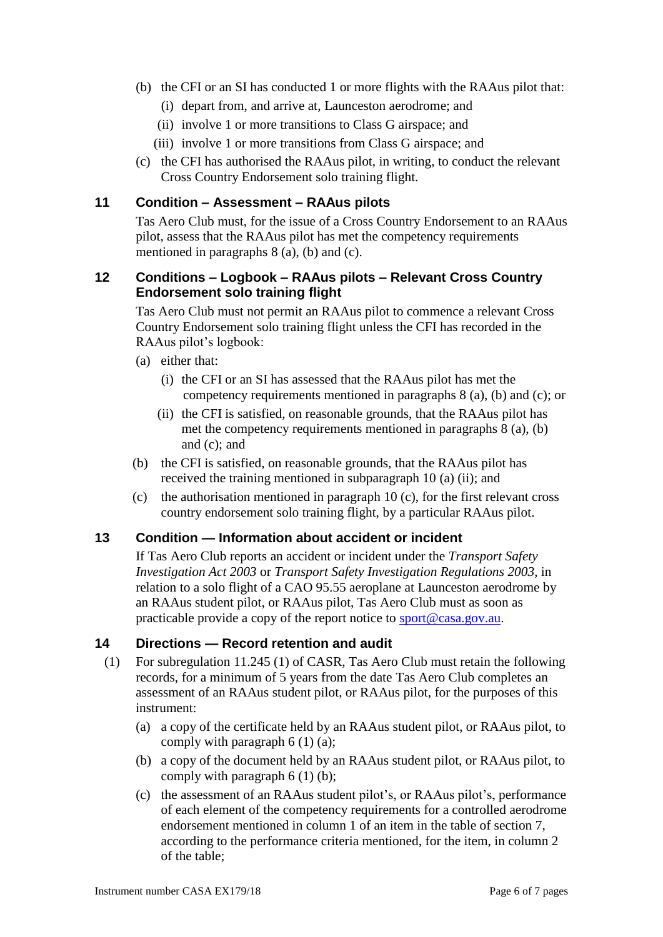- (b) the CFI or an SI has conducted 1 or more flights with the RAAus pilot that:
	- (i) depart from, and arrive at, Launceston aerodrome; and
	- (ii) involve 1 or more transitions to Class G airspace; and
	- (iii) involve 1 or more transitions from Class G airspace; and
- (c) the CFI has authorised the RAAus pilot, in writing, to conduct the relevant Cross Country Endorsement solo training flight.

# **11 Condition – Assessment – RAAus pilots**

Tas Aero Club must, for the issue of a Cross Country Endorsement to an RAAus pilot, assess that the RAAus pilot has met the competency requirements mentioned in paragraphs 8 (a), (b) and (c).

## **12 Conditions – Logbook – RAAus pilots – Relevant Cross Country Endorsement solo training flight**

Tas Aero Club must not permit an RAAus pilot to commence a relevant Cross Country Endorsement solo training flight unless the CFI has recorded in the RAAus pilot's logbook:

- (a) either that:
	- (i) the CFI or an SI has assessed that the RAAus pilot has met the competency requirements mentioned in paragraphs 8 (a), (b) and (c); or
	- (ii) the CFI is satisfied, on reasonable grounds, that the RAAus pilot has met the competency requirements mentioned in paragraphs 8 (a), (b) and (c); and
- (b) the CFI is satisfied, on reasonable grounds, that the RAAus pilot has received the training mentioned in subparagraph 10 (a) (ii); and
- (c) the authorisation mentioned in paragraph  $10$  (c), for the first relevant cross country endorsement solo training flight, by a particular RAAus pilot.

## **13 Condition — Information about accident or incident**

If Tas Aero Club reports an accident or incident under the *Transport Safety Investigation Act 2003* or *Transport Safety Investigation Regulations 2003*, in relation to a solo flight of a CAO 95.55 aeroplane at Launceston aerodrome by an RAAus student pilot, or RAAus pilot, Tas Aero Club must as soon as practicable provide a copy of the report notice to [sport@casa.gov.au.](mailto:sport@casa.gov.au)

# **14 Directions — Record retention and audit**

- (1) For subregulation 11.245 (1) of CASR, Tas Aero Club must retain the following records, for a minimum of 5 years from the date Tas Aero Club completes an assessment of an RAAus student pilot, or RAAus pilot, for the purposes of this instrument:
	- (a) a copy of the certificate held by an RAAus student pilot, or RAAus pilot, to comply with paragraph 6 (1) (a);
	- (b) a copy of the document held by an RAAus student pilot, or RAAus pilot, to comply with paragraph 6 (1) (b);
	- (c) the assessment of an RAAus student pilot's, or RAAus pilot's, performance of each element of the competency requirements for a controlled aerodrome endorsement mentioned in column 1 of an item in the table of section 7, according to the performance criteria mentioned, for the item, in column 2 of the table;